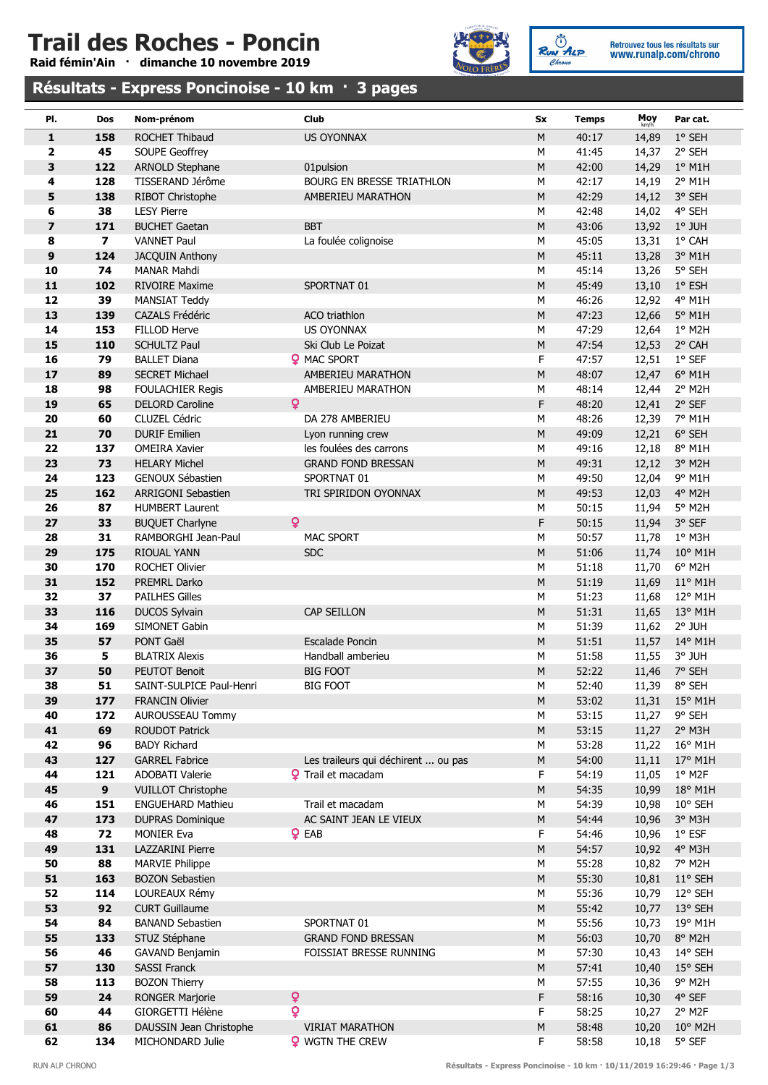# Trail des Roches - Poncin

Raid fémin'Ain · dimanche 10 novembre 2019



RUN ALP Retrouvez tous les résultats sur<br>WWW.runalp.com/chrono

### Résultats - Express Poncinoise - 10 km · 3 pages

| PI.                     | Dos                     | Nom-prénom                                    | Club                                | Sx             | <b>Temps</b>   | Moy<br>km/h | Par cat.          |
|-------------------------|-------------------------|-----------------------------------------------|-------------------------------------|----------------|----------------|-------------|-------------------|
| $\mathbf{1}$            | 158                     | <b>ROCHET Thibaud</b>                         | <b>US OYONNAX</b>                   | M              | 40:17          | 14,89       | 1° SEH            |
| $\overline{\mathbf{2}}$ | 45                      | SOUPE Geoffrey                                |                                     | M              | 41:45          | 14,37       | 2° SEH            |
| 3                       | 122                     | <b>ARNOLD Stephane</b>                        | 01pulsion                           | ${\sf M}$      | 42:00          | 14,29       | $1°$ M1H          |
| 4                       | 128                     | TISSERAND Jérôme                              | BOURG EN BRESSE TRIATHLON           | М              | 42:17          | 14,19       | 2° M1H            |
| 5                       | 138                     | RIBOT Christophe                              | AMBERIEU MARATHON                   | ${\sf M}$      | 42:29          | 14,12       | 3° SEH            |
| 6                       | 38                      | <b>LESY Pierre</b>                            |                                     | M              | 42:48          | 14,02       | 4° SEH            |
| $\overline{\mathbf{z}}$ | 171                     | <b>BUCHET Gaetan</b>                          | <b>BBT</b>                          | ${\sf M}$      | 43:06          | 13,92       | 1° JUH            |
| 8                       | $\overline{\mathbf{z}}$ | <b>VANNET Paul</b>                            | La foulée colignoise                | м              | 45:05          | 13,31       | 1° CAH            |
| 9                       | 124                     | JACQUIN Anthony                               |                                     | ${\sf M}$      | 45:11          | 13,28       | 3° M1H            |
| 10                      | 74                      | <b>MANAR Mahdi</b>                            |                                     | M              | 45:14          | 13,26       | 5° SEH            |
| 11                      | 102                     | <b>RIVOIRE Maxime</b>                         | SPORTNAT 01                         | ${\sf M}$      | 45:49          | 13,10       | $1°$ ESH          |
| 12                      | 39                      | <b>MANSIAT Teddy</b>                          |                                     | M              | 46:26          | 12,92       | 4° M1H            |
| 13                      | 139                     | CAZALS Frédéric                               | ACO triathlon                       | ${\sf M}$      | 47:23          | 12,66       | 5° M1H            |
| 14                      | 153                     | <b>FILLOD Herve</b>                           | <b>US OYONNAX</b>                   | M              | 47:29          | 12,64       | 1° M2H            |
| 15                      | 110                     | <b>SCHULTZ Paul</b>                           | Ski Club Le Poizat                  | ${\sf M}$      | 47:54          | 12,53       | 2° CAH            |
| 16                      | 79                      | <b>BALLET Diana</b>                           | <b>9 MAC SPORT</b>                  | F              | 47:57          | 12,51       | $1^{\circ}$ SEF   |
| 17                      | 89                      | <b>SECRET Michael</b>                         | AMBERIEU MARATHON                   | ${\sf M}$      | 48:07          | 12,47       | 6° M1H            |
| 18                      | 98                      | <b>FOULACHIER Regis</b>                       | AMBERIEU MARATHON                   | M              | 48:14          | 12,44       | 2° M2H            |
| 19                      | 65                      | <b>DELORD Caroline</b>                        | $\mathbf{Q}$                        | F              | 48:20          | 12,41       | $2°$ SEF          |
| 20                      | 60                      | CLUZEL Cédric                                 | DA 278 AMBERIEU                     | M              | 48:26          | 12,39       | 7° M1H            |
| 21                      | 70                      | <b>DURIF Emilien</b>                          | Lyon running crew                   | M              | 49:09          | 12,21       | 6° SEH            |
| 22                      | 137                     | <b>OMEIRA Xavier</b>                          | les foulées des carrons             | M              | 49:16          | 12,18       | 8° M1H            |
| 23                      | 73                      | <b>HELARY Michel</b>                          | <b>GRAND FOND BRESSAN</b>           | ${\sf M}$      | 49:31          | 12,12       | 3° M2H            |
| 24                      | 123                     | GENOUX Sébastien                              | SPORTNAT 01                         | M              | 49:50          | 12,04       | 9° M1H            |
| 25                      | 162                     | <b>ARRIGONI Sebastien</b>                     | TRI SPIRIDON OYONNAX                | ${\sf M}$      | 49:53          | 12,03       | 4° M2H            |
| 26                      | 87                      | <b>HUMBERT Laurent</b>                        |                                     | M              | 50:15          |             | 5° M2H            |
|                         |                         |                                               | Q                                   | F              |                | 11,94       | 3° SEF            |
| 27<br>28                | 33<br>31                | <b>BUQUET Charlyne</b><br>RAMBORGHI Jean-Paul | <b>MAC SPORT</b>                    | M              | 50:15<br>50:57 | 11,94       | 1° M3H            |
|                         |                         |                                               |                                     |                |                | 11,78       |                   |
| 29                      | 175                     | <b>RIOUAL YANN</b>                            | <b>SDC</b>                          | ${\sf M}$      | 51:06          | 11,74       | 10° M1H           |
| 30                      | 170                     | <b>ROCHET Olivier</b>                         |                                     | M              | 51:18          | 11,70       | 6° M2H            |
| 31                      | 152                     | PREMRL Darko                                  |                                     | ${\sf M}$      | 51:19          | 11,69       | $11^{\circ}$ M1H  |
| 32                      | 37                      | <b>PAILHES Gilles</b>                         |                                     | м              | 51:23          | 11,68       | 12° M1H           |
| 33<br>34                | 116<br>169              | <b>DUCOS Sylvain</b><br>SIMONET Gabin         | CAP SEILLON                         | ${\sf M}$<br>M | 51:31          | 11,65       | 13° M1H<br>2° JUH |
|                         |                         |                                               |                                     |                | 51:39          | 11,62       |                   |
| 35                      | 57                      | PONT Gaël<br><b>BLATRIX Alexis</b>            | <b>Escalade Poncin</b>              | M              | 51:51          | 11,57       | 14° M1H           |
| 36                      | 5                       |                                               | Handball amberieu                   | M              | 51:58          | 11,55       | 3° JUH            |
| 37<br>38                | 50                      | PEUTOT Benoit                                 | <b>BIG FOOT</b>                     | ${\sf M}$      | 52:22          |             | 11,46 7° SEH      |
|                         | 51                      | SAINT-SULPICE Paul-Henri                      | <b>BIG FOOT</b>                     | М              | 52:40          |             | 11,39 8° SEH      |
| 39                      | 177                     | <b>FRANCIN Olivier</b>                        |                                     | M              | 53:02          | 11,31       | 15° M1H           |
| 40                      | 172                     | AUROUSSEAU Tommy                              |                                     | M              | 53:15          | 11,27       | 9° SEH            |
| 41                      | 69                      | ROUDOT Patrick                                |                                     | M              | 53:15          | 11,27       | 2° M3H            |
| 42                      | 96                      | <b>BADY Richard</b>                           |                                     | M              | 53:28          | 11,22       | 16° M1H           |
| 43                      | 127                     | <b>GARREL Fabrice</b>                         | Les traileurs qui déchirent  ou pas | ${\sf M}$      | 54:00          | 11,11       | 17° M1H           |
| 44                      | 121                     | <b>ADOBATI Valerie</b>                        | <b>9</b> Trail et macadam           | F              | 54:19          | 11,05       | $1°$ M2F          |
| 45                      | 9 <sup>°</sup>          | <b>VUILLOT Christophe</b>                     |                                     | M              | 54:35          | 10,99       | 18° M1H           |
| 46                      | 151                     | <b>ENGUEHARD Mathieu</b>                      | Trail et macadam                    | M              | 54:39          | 10,98       | 10° SEH           |
| 47                      | 173                     | <b>DUPRAS Dominique</b>                       | AC SAINT JEAN LE VIEUX              | M              | 54:44          | 10,96       | 3° M3H            |
| 48                      | 72                      | <b>MONIER Eva</b>                             | $Q$ EAB                             | F.             | 54:46          | 10,96       | $1°$ ESF          |
| 49                      | 131                     | LAZZARINI Pierre                              |                                     | ${\sf M}$      | 54:57          | 10,92       | 4° M3H            |
| 50                      | 88                      | <b>MARVIE Philippe</b>                        |                                     | М              | 55:28          | 10,82       | 7° M2H            |
| 51                      | 163                     | <b>BOZON Sebastien</b>                        |                                     | ${\sf M}$      | 55:30          | 10,81       | 11° SEH           |
| 52                      | 114                     | LOUREAUX Rémy                                 |                                     | М              | 55:36          | 10,79       | 12° SEH           |
| 53                      | 92                      | <b>CURT Guillaume</b>                         |                                     | M              | 55:42          | 10,77       | 13° SEH           |
| 54                      | 84                      | <b>BANAND Sebastien</b>                       | SPORTNAT 01                         | М              | 55:56          | 10,73       | 19° M1H           |
| 55                      | 133                     | STUZ Stéphane                                 | <b>GRAND FOND BRESSAN</b>           | ${\sf M}$      | 56:03          | 10,70       | 8° M2H            |
| 56                      | 46                      | GAVAND Benjamin                               | FOISSIAT BRESSE RUNNING             | M              | 57:30          | 10,43       | 14° SEH           |
| 57                      | 130                     | SASSI Franck                                  |                                     | M              | 57:41          | 10,40       | 15° SEH           |
| 58                      | 113                     | <b>BOZON Thierry</b>                          |                                     | М              | 57:55          | 10,36       | 9° M2H            |
| 59                      | 24                      | <b>RONGER Marjorie</b>                        | ò                                   | F              | 58:16          | 10,30       | 4° SEF            |
| 60                      | 44                      | GIORGETTI Hélène                              | $\overline{Q}$                      | F              | 58:25          | 10,27       | 2° M2F            |
| 61                      | 86                      | DAUSSIN Jean Christophe                       | <b>VIRIAT MARATHON</b>              | ${\sf M}$      | 58:48          | 10,20       | 10° M2H           |
| 62                      | 134                     | MICHONDARD Julie                              | <b>9</b> WGTN THE CREW              | F              | 58:58          | 10,18       | 5° SEF            |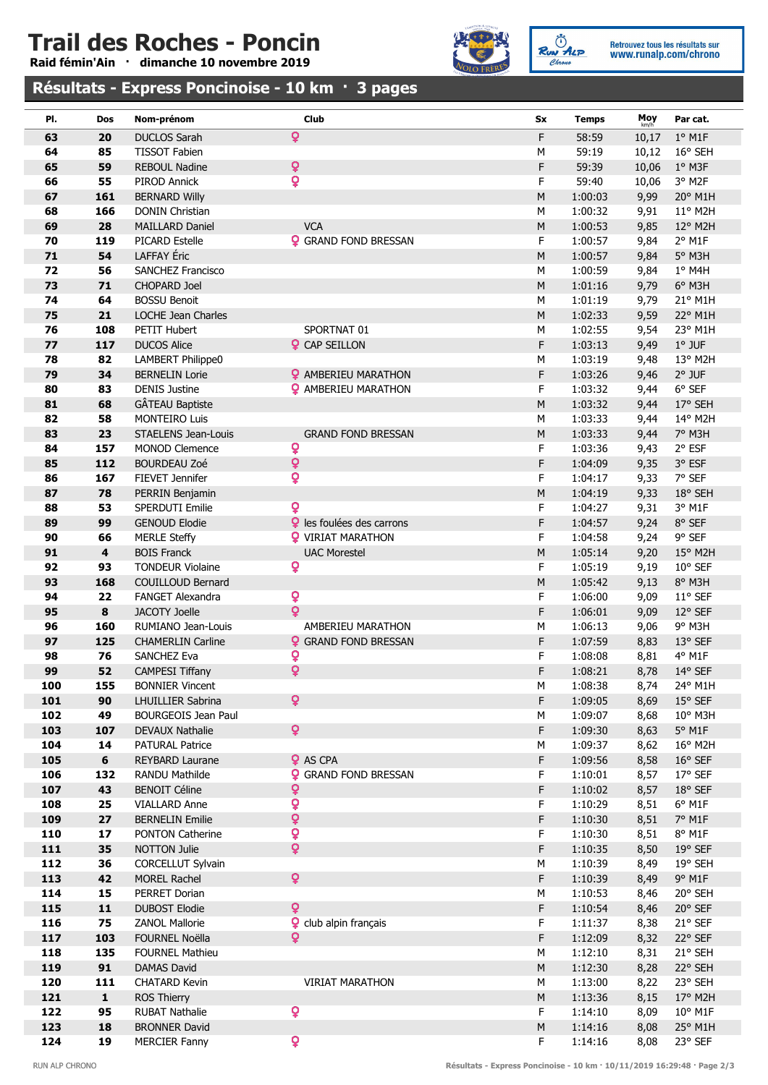# Trail des Roches - Poncin

Raid fémin'Ain · dimanche 10 novembre 2019



RUN ALP

Retrouvez tous les résultats sur<br>WWW.runalp.com/chrono

### Résultats - Express Poncinoise - 10 km · 3 pages

| PI. | Dos                     | Nom-prénom                 | <b>Club</b>                  | Sx        | <b>Temps</b> | Moy<br>km/h | Par cat.         |
|-----|-------------------------|----------------------------|------------------------------|-----------|--------------|-------------|------------------|
| 63  | 20                      | <b>DUCLOS Sarah</b>        | ò                            | F         | 58:59        | 10,17       | $1°$ M1F         |
| 64  | 85                      | <b>TISSOT Fabien</b>       |                              | M         | 59:19        | 10,12       | 16° SEH          |
| 65  | 59                      | <b>REBOUL Nadine</b>       | Q                            | F         | 59:39        | 10,06       | 1° M3F           |
| 66  | 55                      | PIROD Annick               | Q                            | F         | 59:40        | 10,06       | 3° M2F           |
| 67  | 161                     | <b>BERNARD Willy</b>       |                              | ${\sf M}$ | 1:00:03      | 9,99        | 20° M1H          |
| 68  | 166                     | <b>DONIN Christian</b>     |                              | M         | 1:00:32      | 9,91        | 11° M2H          |
| 69  | 28                      | <b>MAILLARD Daniel</b>     | <b>VCA</b>                   | ${\sf M}$ | 1:00:53      | 9,85        | 12° M2H          |
| 70  | 119                     | <b>PICARD Estelle</b>      | <b>Q</b> GRAND FOND BRESSAN  | F         | 1:00:57      | 9,84        | 2° M1F           |
| 71  | 54                      | LAFFAY Éric                |                              | M         | 1:00:57      | 9,84        | 5° M3H           |
| 72  | 56                      | SANCHEZ Francisco          |                              | M         | 1:00:59      | 9,84        | $1°$ M4H         |
| 73  | 71                      | <b>CHOPARD Joel</b>        |                              | M         | 1:01:16      | 9,79        | 6° M3H           |
| 74  | 64                      | <b>BOSSU Benoit</b>        |                              | M         | 1:01:19      | 9,79        | 21° M1H          |
| 75  | 21                      | LOCHE Jean Charles         |                              | M         | 1:02:33      | 9,59        | 22° M1H          |
| 76  | 108                     | PETIT Hubert               | SPORTNAT 01                  | M         | 1:02:55      | 9,54        | 23° M1H          |
| 77  | 117                     | <b>DUCOS Alice</b>         | <b>Q</b> CAP SEILLON         | F         | 1:03:13      | 9,49        | $1^{\circ}$ JUF  |
| 78  | 82                      | LAMBERT Philippe0          |                              | М         | 1:03:19      | 9,48        | 13° M2H          |
| 79  | 34                      | <b>BERNELIN Lorie</b>      | <b>?</b> AMBERIEU MARATHON   | F         | 1:03:26      | 9,46        | $2°$ JUF         |
| 80  | 83                      | <b>DENIS Justine</b>       | <b>2</b> AMBERIEU MARATHON   | F         | 1:03:32      | 9,44        | $6°$ SEF         |
| 81  | 68                      | GÂTEAU Baptiste            |                              | ${\sf M}$ | 1:03:32      | 9,44        | 17° SEH          |
| 82  | 58                      | <b>MONTEIRO Luis</b>       |                              | M         | 1:03:33      | 9,44        | 14° M2H          |
| 83  | 23                      | <b>STAELENS Jean-Louis</b> | <b>GRAND FOND BRESSAN</b>    | М         | 1:03:33      | 9,44        | 7° M3H           |
| 84  | 157                     | <b>MONOD Clemence</b>      | ò                            | F         | 1:03:36      | 9,43        | 2° ESF           |
| 85  | 112                     | <b>BOURDEAU Zoé</b>        | Q                            | F         | 1:04:09      | 9,35        | 3° ESF           |
| 86  | 167                     | FIEVET Jennifer            | ò                            | F         | 1:04:17      | 9,33        | 7° SEF           |
| 87  | 78                      | PERRIN Benjamin            |                              | M         | 1:04:19      | 9,33        | 18° SEH          |
| 88  | 53                      | SPERDUTI Emilie            | ò                            | F         | 1:04:27      | 9,31        | 3° M1F           |
| 89  | 99                      | <b>GENOUD Elodie</b>       | 9 les foulées des carrons    | F         | 1:04:57      | 9,24        | 8° SEF           |
| 90  | 66                      | <b>MERLE Steffy</b>        | <b>?</b> VIRIAT MARATHON     | F         | 1:04:58      | 9,24        | 9° SEF           |
| 91  | $\overline{\mathbf{4}}$ | <b>BOIS Franck</b>         | <b>UAC Morestel</b>          | M         | 1:05:14      | 9,20        | 15° M2H          |
| 92  | 93                      | <b>TONDEUR Violaine</b>    | ò                            | F         | 1:05:19      | 9,19        | 10° SEF          |
| 93  | 168                     | COUILLOUD Bernard          |                              | ${\sf M}$ | 1:05:42      | 9,13        | 8° M3H           |
| 94  | 22                      | <b>FANGET Alexandra</b>    | ò                            | F         | 1:06:00      | 9,09        | $11^{\circ}$ SEF |
| 95  | $\pmb{8}$               | <b>JACOTY Joelle</b>       | ò                            | F         | 1:06:01      | 9,09        | 12° SEF          |
| 96  | 160                     | RUMIANO Jean-Louis         | AMBERIEU MARATHON            | М         | 1:06:13      | 9,06        | 9° M3H           |
| 97  | 125                     | <b>CHAMERLIN Carline</b>   | <b>Q</b> GRAND FOND BRESSAN  | F         | 1:07:59      | 8,83        | 13° SEF          |
| 98  | 76                      | <b>SANCHEZ Eva</b>         | Q                            | F         | 1:08:08      | 8,81        | 4° M1F           |
| 99  | 52                      | <b>CAMPESI Tiffany</b>     | ò                            | F         | 1:08:21      | 8,78        | 14° SEF          |
| 100 | 155                     | <b>BONNIER Vincent</b>     |                              | М         | 1:08:38      | 8,74        | 24° M1H          |
| 101 | 90                      | LHUILLIER Sabrina          | Q                            | F         | 1:09:05      | 8,69        | 15° SEF          |
| 102 | 49                      | <b>BOURGEOIS Jean Paul</b> |                              | М         | 1:09:07      | 8,68        | 10° M3H          |
| 103 | 107                     | <b>DEVAUX Nathalie</b>     | ò                            | F         | 1:09:30      | 8,63        | $5^\circ$ M1F    |
| 104 | 14                      | <b>PATURAL Patrice</b>     |                              | М         | 1:09:37      | 8,62        | 16° M2H          |
| 105 | $\bf 6$                 | <b>REYBARD Laurane</b>     | <b>Q</b> AS CPA              | F         | 1:09:56      | 8,58        | $16^{\circ}$ SEF |
| 106 | 132                     | <b>RANDU Mathilde</b>      | <b>Q</b> GRAND FOND BRESSAN  | F.        | 1:10:01      | 8,57        | 17° SEF          |
| 107 | 43                      | <b>BENOIT Céline</b>       | Q                            | F         | 1:10:02      | 8,57        | 18° SEF          |
| 108 | 25                      | <b>VIALLARD Anne</b>       | Q                            | F.        | 1:10:29      | 8,51        | 6° M1F           |
| 109 | 27                      | <b>BERNELIN Emilie</b>     | ¥                            | F         | 1:10:30      | 8,51        | 7° M1F           |
| 110 | 17                      | <b>PONTON Catherine</b>    | ò                            | F.        | 1:10:30      | 8,51        | 8° M1F           |
| 111 | 35                      | <b>NOTTON Julie</b>        | ò                            | F         | 1:10:35      | 8,50        | 19° SEF          |
| 112 | 36                      | CORCELLUT Sylvain          |                              | М         | 1:10:39      | 8,49        | 19° SEH          |
| 113 | 42                      | <b>MOREL Rachel</b>        | ò                            | F         | 1:10:39      | 8,49        | 9° M1F           |
| 114 | 15                      | PERRET Dorian              |                              | М         | 1:10:53      | 8,46        | 20° SEH          |
| 115 | $\mathbf{11}$           | <b>DUBOST Elodie</b>       | ò                            | F         | 1:10:54      | 8,46        | 20° SEF          |
| 116 | 75                      | <b>ZANOL Mallorie</b>      | <b>?</b> club alpin français | F         | 1:11:37      | 8,38        | 21° SEF          |
| 117 | 103                     | <b>FOURNEL Noëlla</b>      | ò                            | F         | 1:12:09      | 8,32        | 22° SEF          |
| 118 | 135                     | <b>FOURNEL Mathieu</b>     |                              | М         | 1:12:10      | 8,31        | 21° SEH          |
| 119 | 91                      | DAMAS David                |                              | M         | 1:12:30      | 8,28        | 22° SEH          |
| 120 | 111                     | <b>CHATARD Kevin</b>       | <b>VIRIAT MARATHON</b>       | М         | 1:13:00      | 8,22        | 23° SEH          |
| 121 | $\mathbf 1$             | <b>ROS Thierry</b>         |                              | М         | 1:13:36      | 8,15        | 17° M2H          |
| 122 | 95                      | <b>RUBAT Nathalie</b>      | Q                            | F.        | 1:14:10      | 8,09        | $10^{\circ}$ M1F |
| 123 | 18                      | <b>BRONNER David</b>       |                              | М         | 1:14:16      | 8,08        | 25° M1H          |
| 124 | 19                      | <b>MERCIER Fanny</b>       | $\overline{\mathbf{Q}}$      | F         | 1:14:16      | 8,08        | 23° SEF          |